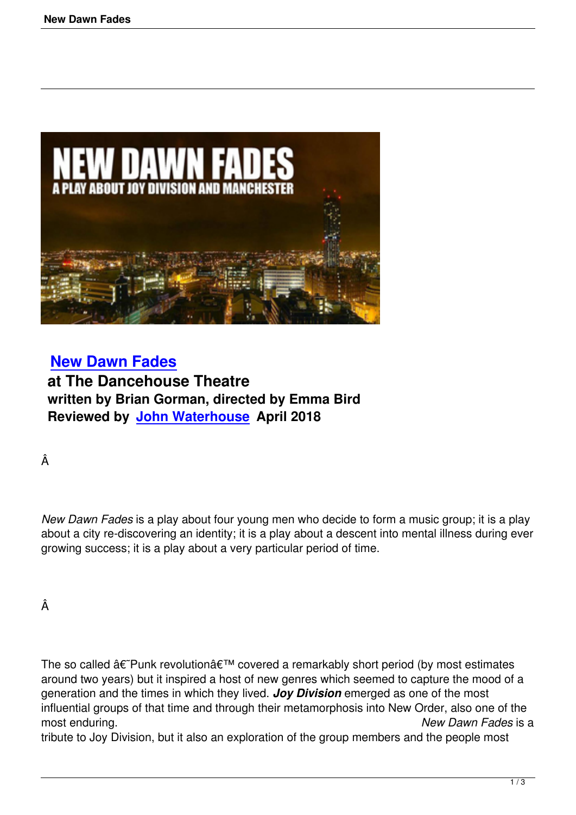

 **New Dawn Fades at The Dancehouse Theatre written by Brian Gorman, directed by Emma Bird [Reviewed by John W](new-dawn-fades.html)aterhouse April 2018**

Â

*New Dawn Fades* is a play about four young men who decide to form a music group; it is a play about a city re-discovering an identity; it is a play about a descent into mental illness during ever growing success; it is a play about a very particular period of time.

Â

The so called  $\hat{a} \in \hat{P}$ unk revolution $\hat{a} \in \hat{P}$  covered a remarkably short period (by most estimates around two years) but it inspired a host of new genres which seemed to capture the mood of a generation and the times in which they lived. *Joy Division* emerged as one of the most influential groups of that time and through their metamorphosis into New Order, also one of the most enduring. *New Dawn Fades* is a

tribute to Joy Division, but it also an exploration of the group members and the people most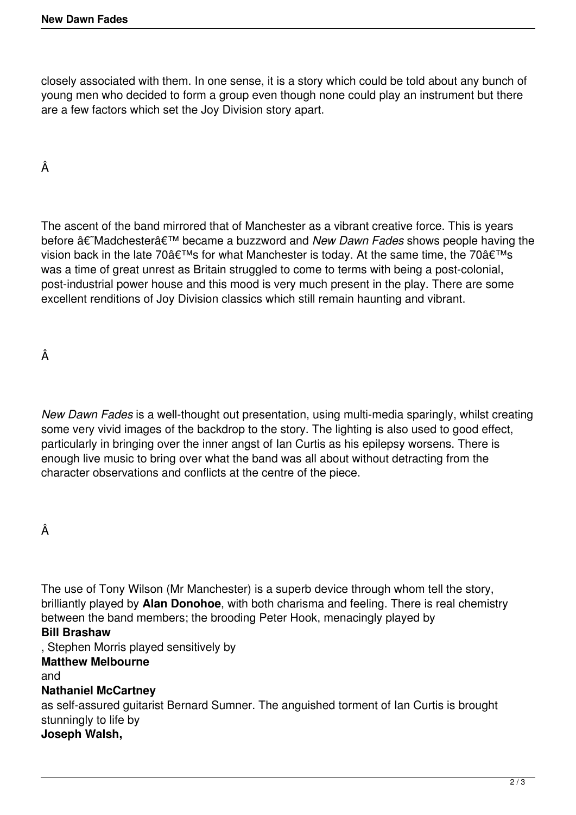closely associated with them. In one sense, it is a story which could be told about any bunch of young men who decided to form a group even though none could play an instrument but there are a few factors which set the Joy Division story apart.

Â

The ascent of the band mirrored that of Manchester as a vibrant creative force. This is years before  $\hat{a} \in \hat{a}$  Madchester $\hat{a} \in \hat{a}$ <sup>™</sup> became a buzzword and *New Dawn Fades* shows people having the vision back in the late 70 $\hat{a} \in T^M$ s for what Manchester is today. At the same time, the 70 $\hat{a} \in T^M$ s was a time of great unrest as Britain struggled to come to terms with being a post-colonial, post-industrial power house and this mood is very much present in the play. There are some excellent renditions of Joy Division classics which still remain haunting and vibrant.

Â

*New Dawn Fades* is a well-thought out presentation, using multi-media sparingly, whilst creating some very vivid images of the backdrop to the story. The lighting is also used to good effect, particularly in bringing over the inner angst of Ian Curtis as his epilepsy worsens. There is enough live music to bring over what the band was all about without detracting from the character observations and conflicts at the centre of the piece.

## Â

The use of Tony Wilson (Mr Manchester) is a superb device through whom tell the story, brilliantly played by **Alan Donohoe**, with both charisma and feeling. There is real chemistry between the band members; the brooding Peter Hook, menacingly played by

## **Bill Brashaw**

, Stephen Morris played sensitively by

## **Matthew Melbourne**

and

## **Nathaniel McCartney**

as self-assured guitarist Bernard Sumner. The anguished torment of Ian Curtis is brought stunningly to life by

# **Joseph Walsh,**